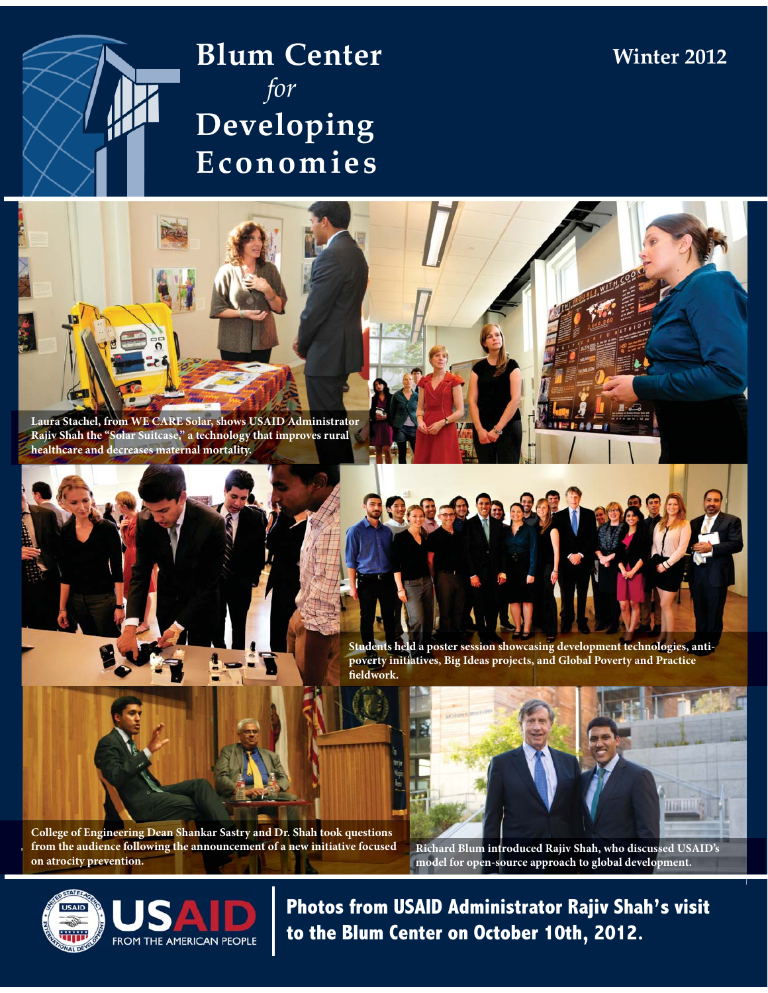

# **Blum Center**  *for* **Developing Economies**



**Students held a poster session showcasing development technologies, antipoverty initiatives, Big Ideas projects, and Global Poverty and Practice fieldwork.** 



**College of Engineering Dean Shankar Sastry and Dr. Shah took questions from the audience following the announcement of a new initiative focused on atrocity prevention.** 



**Winter 2012**

**Richard Blum introduced Rajiv Shah, who discussed USAID's model for open-source approach to global development.** 



**Photos from USAID Administrator Rajiv Shah's visit to the Blum Center on October 10th, 2012.**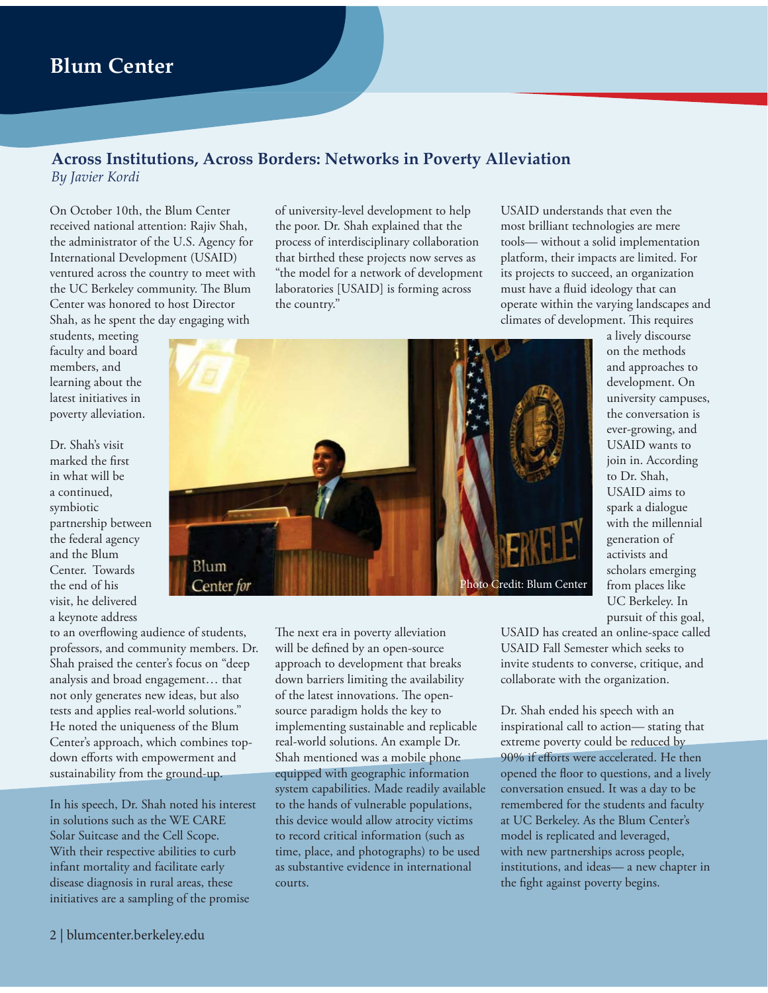### **Across Institutions, Across Borders: Networks in Poverty Alleviation** *By Javier Kordi*

On October 10th, the Blum Center received national attention: Rajiv Shah, the administrator of the U.S. Agency for International Development (USAID) ventured across the country to meet with the UC Berkeley community. The Blum Center was honored to host Director Shah, as he spent the day engaging with

students, meeting faculty and board members, and learning about the latest initiatives in poverty alleviation.

Dr. Shah's visit marked the first in what will be a continued, symbiotic partnership between the federal agency and the Blum Center. Towards the end of his visit, he delivered a keynote address

of university-level development to help the poor. Dr. Shah explained that the process of interdisciplinary collaboration that birthed these projects now serves as "the model for a network of development laboratories [USAID] is forming across the country."

USAID understands that even the most brilliant technologies are mere tools— without a solid implementation platform, their impacts are limited. For its projects to succeed, an organization must have a fluid ideology that can operate within the varying landscapes and climates of development. This requires

a lively discourse on the methods and approaches to development. On university campuses, the conversation is ever-growing, and USAID wants to join in. According to Dr. Shah, USAID aims to spark a dialogue with the millennial generation of activists and scholars emerging from places like UC Berkeley. In pursuit of this goal,



to an overflowing audience of students, professors, and community members. Dr. Shah praised the center's focus on "deep analysis and broad engagement… that not only generates new ideas, but also tests and applies real-world solutions." He noted the uniqueness of the Blum Center's approach, which combines topdown efforts with empowerment and sustainability from the ground-up.

In his speech, Dr. Shah noted his interest in solutions such as the WE CARE Solar Suitcase and the Cell Scope. With their respective abilities to curb infant mortality and facilitate early disease diagnosis in rural areas, these initiatives are a sampling of the promise

The next era in poverty alleviation will be defined by an open-source approach to development that breaks down barriers limiting the availability of the latest innovations. The opensource paradigm holds the key to implementing sustainable and replicable real-world solutions. An example Dr. Shah mentioned was a mobile phone equipped with geographic information system capabilities. Made readily available to the hands of vulnerable populations, this device would allow atrocity victims to record critical information (such as time, place, and photographs) to be used as substantive evidence in international courts.

USAID has created an online-space called USAID Fall Semester which seeks to invite students to converse, critique, and collaborate with the organization.

Dr. Shah ended his speech with an inspirational call to action— stating that extreme poverty could be reduced by 90% if efforts were accelerated. He then opened the floor to questions, and a lively conversation ensued. It was a day to be remembered for the students and faculty at UC Berkeley. As the Blum Center's model is replicated and leveraged, with new partnerships across people, institutions, and ideas— a new chapter in the fight against poverty begins.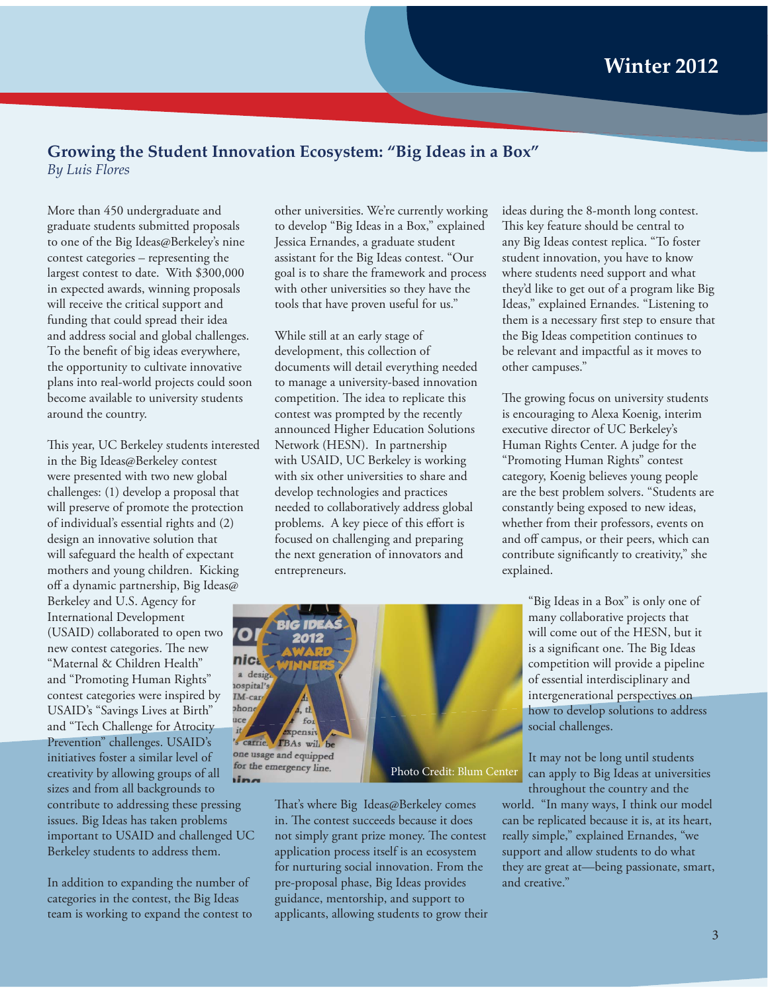### **Growing the Student Innovation Ecosystem: "Big Ideas in a Box"** *By Luis Flores*

More than 450 undergraduate and graduate students submitted proposals to one of the Big Ideas@Berkeley's nine contest categories – representing the largest contest to date. With \$300,000 in expected awards, winning proposals will receive the critical support and funding that could spread their idea and address social and global challenges. To the benefit of big ideas everywhere, the opportunity to cultivate innovative plans into real-world projects could soon become available to university students around the country.

This year, UC Berkeley students interested in the Big Ideas@Berkeley contest were presented with two new global challenges: (1) develop a proposal that will preserve of promote the protection of individual's essential rights and (2) design an innovative solution that will safeguard the health of expectant mothers and young children. Kicking off a dynamic partnership, Big Ideas@

Berkeley and U.S. Agency for International Development (USAID) collaborated to open two new contest categories. The new "Maternal & Children Health" and "Promoting Human Rights" contest categories were inspired by USAID's "Savings Lives at Birth" and "Tech Challenge for Atrocity Prevention" challenges. USAID's initiatives foster a similar level of creativity by allowing groups of all sizes and from all backgrounds to contribute to addressing these pressing issues. Big Ideas has taken problems important to USAID and challenged UC Berkeley students to address them.

In addition to expanding the number of categories in the contest, the Big Ideas team is working to expand the contest to other universities. We're currently working to develop "Big Ideas in a Box," explained Jessica Ernandes, a graduate student assistant for the Big Ideas contest. "Our goal is to share the framework and process with other universities so they have the tools that have proven useful for us."

While still at an early stage of development, this collection of documents will detail everything needed to manage a university-based innovation competition. The idea to replicate this contest was prompted by the recently announced Higher Education Solutions Network (HESN). In partnership with USAID, UC Berkeley is working with six other universities to share and develop technologies and practices needed to collaboratively address global problems. A key piece of this effort is focused on challenging and preparing the next generation of innovators and entrepreneurs.

ideas during the 8-month long contest. This key feature should be central to any Big Ideas contest replica. "To foster student innovation, you have to know where students need support and what they'd like to get out of a program like Big Ideas," explained Ernandes. "Listening to them is a necessary first step to ensure that the Big Ideas competition continues to be relevant and impactful as it moves to other campuses."

The growing focus on university students is encouraging to Alexa Koenig, interim executive director of UC Berkeley's Human Rights Center. A judge for the "Promoting Human Rights" contest category, Koenig believes young people are the best problem solvers. "Students are constantly being exposed to new ideas, whether from their professors, events on and off campus, or their peers, which can contribute significantly to creativity," she explained.



It may not be long until students can apply to Big Ideas at universities throughout the country and the

world. "In many ways, I think our model can be replicated because it is, at its heart, really simple," explained Ernandes, "we support and allow students to do what they are great at—being passionate, smart, and creative."



That's where Big Ideas@Berkeley comes in. The contest succeeds because it does not simply grant prize money. The contest application process itself is an ecosystem for nurturing social innovation. From the pre-proposal phase, Big Ideas provides guidance, mentorship, and support to applicants, allowing students to grow their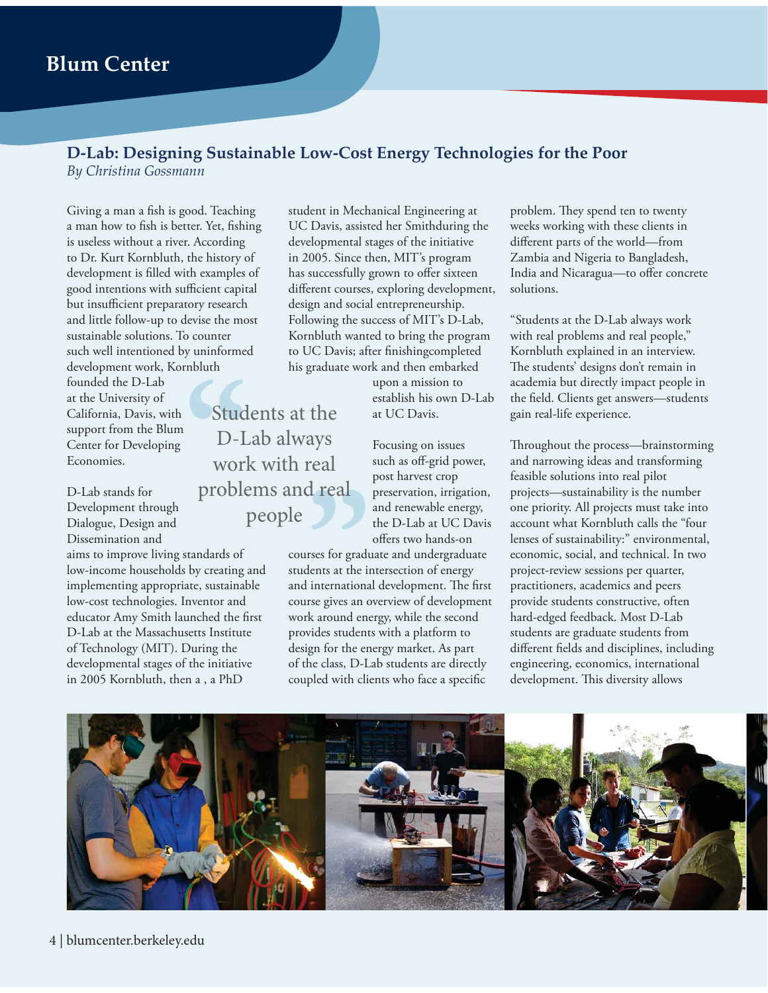## **Blum Center**

## **D-Lab: Designing Sustainable Low-Cost Energy Technologies for the Poor**

*By Christina Gossmann*

Giving a man a fish is good. Teaching a man how to fish is better. Yet, fishing is useless without a river. According to Dr. Kurt Kornbluth, the history of development is filled with examples of good intentions with sufficient capital but insufficient preparatory research and little follow-up to devise the most sustainable solutions. To counter such well intentioned by uninformed development work, Kornbluth **Example 1**<br> **COUNTER**<br> **Stud** 

founded the D-Lab at the University of California, Davis, with support from the Blum Center for Developing Economies.

D-Lab stands for Development through Dialogue, Design and Dissemination and

aims to improve living standards of low-income households by creating and implementing appropriate, sustainable low-cost technologies. Inventor and educator Amy Smith launched the first D-Lab at the Massachusetts Institute of Technology (MIT). During the developmental stages of the initiative in 2005 Kornbluth, then a , a PhD

student in Mechanical Engineering at UC Davis, assisted her Smithduring the developmental stages of the initiative in 2005. Since then, MIT's program has successfully grown to offer sixteen different courses, exploring development, design and social entrepreneurship. Following the success of MIT's D-Lab, Kornbluth wanted to bring the program to UC Davis; after finishingcompleted his graduate work and then embarked

> upon a mission to establish his own D-Lab at UC Davis.

Focusing on issues such as off-grid power, post harvest crop preservation, irrigation, and renewable energy, the D-Lab at UC Davis offers two hands-on

courses for graduate and undergraduate students at the intersection of energy and international development. The first course gives an overview of development work around energy, while the second provides students with a platform to design for the energy market. As part of the class, D-Lab students are directly coupled with clients who face a specific

problem. They spend ten to twenty weeks working with these clients in different parts of the world—from Zambia and Nigeria to Bangladesh, India and Nicaragua—to offer concrete solutions.

"Students at the D-Lab always work with real problems and real people," Kornbluth explained in an interview. The students' designs don't remain in academia but directly impact people in the field. Clients get answers—students gain real-life experience.

Throughout the process—brainstorming and narrowing ideas and transforming feasible solutions into real pilot projects—sustainability is the number one priority. All projects must take into account what Kornbluth calls the "four lenses of sustainability:" environmental, economic, social, and technical. In two project-review sessions per quarter, practitioners, academics and peers provide students constructive, often hard-edged feedback. Most D-Lab students are graduate students from different fields and disciplines, including engineering, economics, international development. This diversity allows



## **real**<br> **d real**<br> **ses for gradu**<br> **lents at the interactions** Students at the D-Lab always work with real problems and real people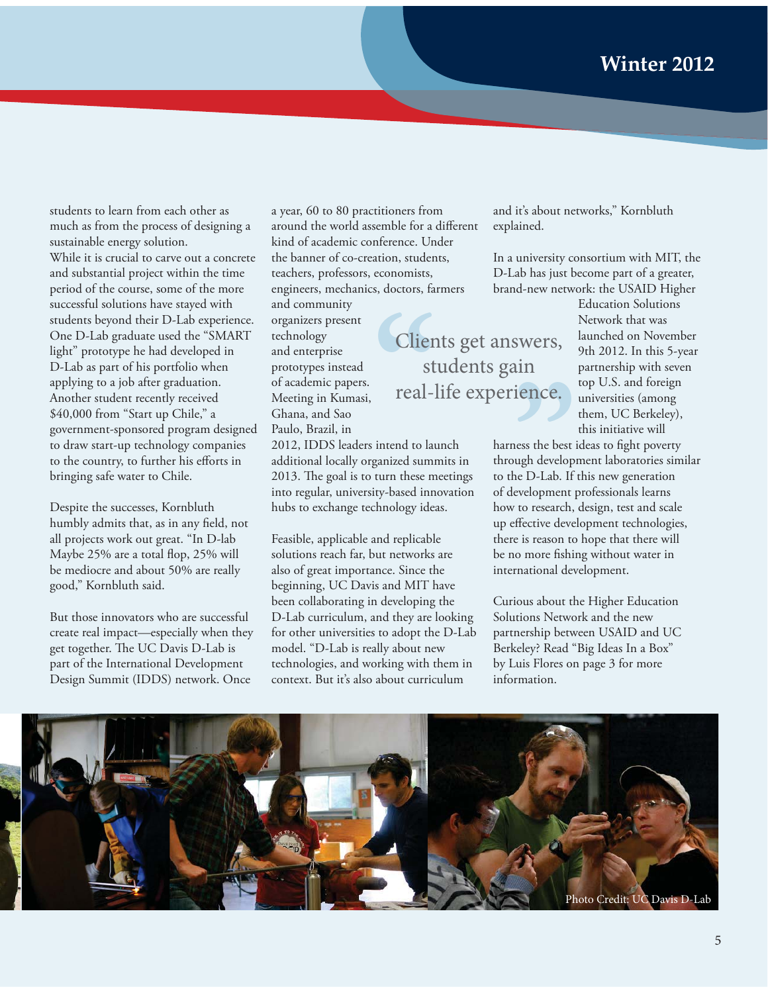students to learn from each other as much as from the process of designing a sustainable energy solution. While it is crucial to carve out a concrete and substantial project within the time period of the course, some of the more successful solutions have stayed with students beyond their D-Lab experience. One D-Lab graduate used the "SMART light" prototype he had developed in D-Lab as part of his portfolio when applying to a job after graduation. Another student recently received \$40,000 from "Start up Chile," a government-sponsored program designed to draw start-up technology companies to the country, to further his efforts in bringing safe water to Chile.

Despite the successes, Kornbluth humbly admits that, as in any field, not all projects work out great. "In D-lab Maybe 25% are a total flop, 25% will be mediocre and about 50% are really good," Kornbluth said.

But those innovators who are successful create real impact—especially when they get together. The UC Davis D-Lab is part of the International Development Design Summit (IDDS) network. Once

a year, 60 to 80 practitioners from around the world assemble for a different kind of academic conference. Under the banner of co-creation, students, teachers, professors, economists, engineers, mechanics, doctors, farmers tion, students,<br>
conomists,<br>
Clients get answers,<br>
Clients get answers,

students gain

real-life experience.

and community organizers present technology and enterprise prototypes instead of academic papers. Meeting in Kumasi, Ghana, and Sao Paulo, Brazil, in

2012, IDDS leaders intend to launch additional locally organized summits in 2013. The goal is to turn these meetings into regular, university-based innovation hubs to exchange technology ideas.

Feasible, applicable and replicable solutions reach far, but networks are also of great importance. Since the beginning, UC Davis and MIT have been collaborating in developing the D-Lab curriculum, and they are looking for other universities to adopt the D-Lab model. "D-Lab is really about new technologies, and working with them in context. But it's also about curriculum

and it's about networks," Kornbluth explained.

In a university consortium with MIT, the D-Lab has just become part of a greater, brand-new network: the USAID Higher

> Education Solutions Network that was launched on November 9th 2012. In this 5-year partnership with seven top U.S. and foreign universities (among them, UC Berkeley), this initiative will

harness the best ideas to fight poverty through development laboratories similar to the D-Lab. If this new generation of development professionals learns how to research, design, test and scale up effective development technologies, there is reason to hope that there will be no more fishing without water in international development. swers,<br>**ain**<br>**ience.**<br>ness the best is<br>ugh develop:<br>be D Leb If

Curious about the Higher Education Solutions Network and the new partnership between USAID and UC Berkeley? Read "Big Ideas In a Box" by Luis Flores on page 3 for more information.

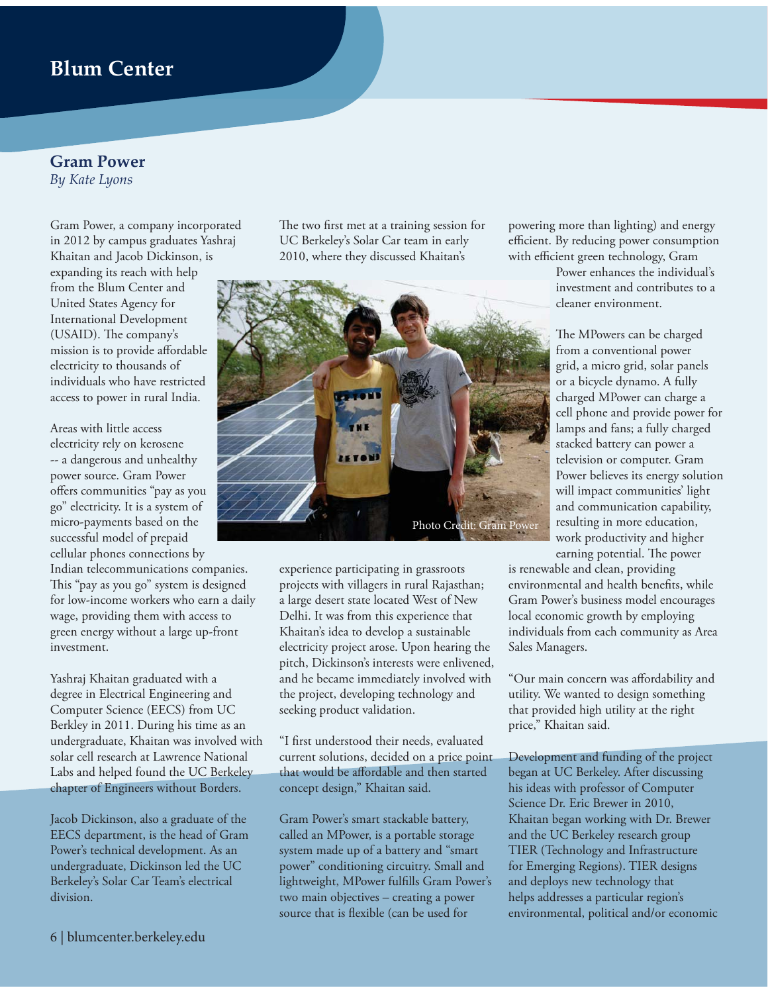## **Blum Center**

#### **Gram Power** *By Kate Lyons*

Gram Power, a company incorporated in 2012 by campus graduates Yashraj Khaitan and Jacob Dickinson, is expanding its reach with help from the Blum Center and United States Agency for International Development (USAID). The company's mission is to provide affordable electricity to thousands of individuals who have restricted access to power in rural India.

Areas with little access electricity rely on kerosene -- a dangerous and unhealthy power source. Gram Power offers communities "pay as you go" electricity. It is a system of micro-payments based on the successful model of prepaid cellular phones connections by

Indian telecommunications companies. This "pay as you go" system is designed for low-income workers who earn a daily wage, providing them with access to green energy without a large up-front investment.

Yashraj Khaitan graduated with a degree in Electrical Engineering and Computer Science (EECS) from UC Berkley in 2011. During his time as an undergraduate, Khaitan was involved with solar cell research at Lawrence National Labs and helped found the UC Berkeley chapter of Engineers without Borders.

Jacob Dickinson, also a graduate of the EECS department, is the head of Gram Power's technical development. As an undergraduate, Dickinson led the UC Berkeley's Solar Car Team's electrical division.

The two first met at a training session for UC Berkeley's Solar Car team in early 2010, where they discussed Khaitan's



experience participating in grassroots projects with villagers in rural Rajasthan; a large desert state located West of New Delhi. It was from this experience that Khaitan's idea to develop a sustainable electricity project arose. Upon hearing the pitch, Dickinson's interests were enlivened, and he became immediately involved with the project, developing technology and seeking product validation.

"I first understood their needs, evaluated current solutions, decided on a price point that would be affordable and then started concept design," Khaitan said.

Gram Power's smart stackable battery, called an MPower, is a portable storage system made up of a battery and "smart power" conditioning circuitry. Small and lightweight, MPower fulfills Gram Power's two main objectives – creating a power source that is flexible (can be used for

powering more than lighting) and energy efficient. By reducing power consumption with efficient green technology, Gram

> Power enhances the individual's investment and contributes to a cleaner environment.

The MPowers can be charged from a conventional power grid, a micro grid, solar panels or a bicycle dynamo. A fully charged MPower can charge a cell phone and provide power for lamps and fans; a fully charged stacked battery can power a television or computer. Gram Power believes its energy solution will impact communities' light and communication capability, resulting in more education, work productivity and higher

earning potential. The power is renewable and clean, providing environmental and health benefits, while

Gram Power's business model encourages local economic growth by employing individuals from each community as Area Sales Managers.

"Our main concern was affordability and utility. We wanted to design something that provided high utility at the right price," Khaitan said.

Development and funding of the project began at UC Berkeley. After discussing his ideas with professor of Computer Science Dr. Eric Brewer in 2010, Khaitan began working with Dr. Brewer and the UC Berkeley research group TIER (Technology and Infrastructure for Emerging Regions). TIER designs and deploys new technology that helps addresses a particular region's environmental, political and/or economic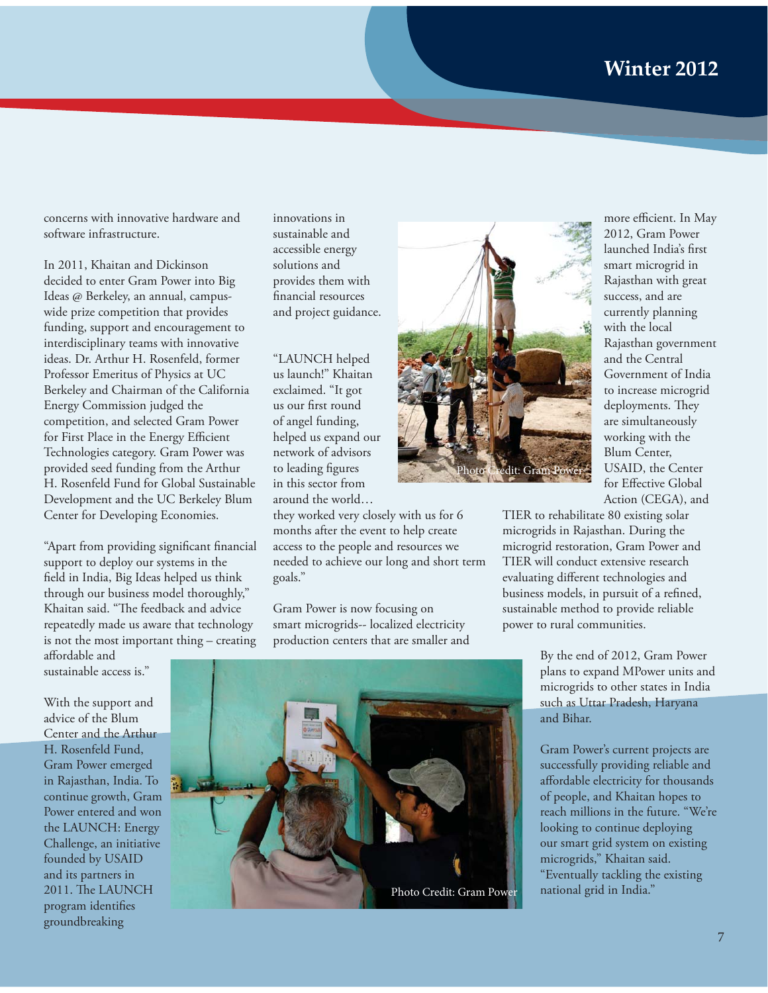concerns with innovative hardware and software infrastructure.

In 2011, Khaitan and Dickinson decided to enter Gram Power into Big Ideas @ Berkeley, an annual, campuswide prize competition that provides funding, support and encouragement to interdisciplinary teams with innovative ideas. Dr. Arthur H. Rosenfeld, former Professor Emeritus of Physics at UC Berkeley and Chairman of the California Energy Commission judged the competition, and selected Gram Power for First Place in the Energy Efficient Technologies category. Gram Power was provided seed funding from the Arthur H. Rosenfeld Fund for Global Sustainable Development and the UC Berkeley Blum Center for Developing Economies.

"Apart from providing significant financial support to deploy our systems in the field in India, Big Ideas helped us think through our business model thoroughly," Khaitan said. "The feedback and advice repeatedly made us aware that technology is not the most important thing – creating affordable and

sustainable access is."

With the support and advice of the Blum Center and the Arthur H. Rosenfeld Fund, Gram Power emerged in Rajasthan, India. To continue growth, Gram Power entered and won the LAUNCH: Energy Challenge, an initiative founded by USAID and its partners in 2011. The LAUNCH program identifies groundbreaking

innovations in sustainable and accessible energy solutions and provides them with financial resources and project guidance.

"LAUNCH helped us launch!" Khaitan exclaimed. "It got us our first round of angel funding, helped us expand our network of advisors to leading figures in this sector from around the world…

they worked very closely with us for 6 months after the event to help create access to the people and resources we needed to achieve our long and short term goals."

Gram Power is now focusing on smart microgrids-- localized electricity production centers that are smaller and





more efficient. In May 2012, Gram Power launched India's first smart microgrid in Rajasthan with great success, and are currently planning with the local Rajasthan government and the Central Government of India to increase microgrid deployments. They are simultaneously working with the Blum Center, USAID, the Center for Effective Global Action (CEGA), and

TIER to rehabilitate 80 existing solar microgrids in Rajasthan. During the microgrid restoration, Gram Power and TIER will conduct extensive research evaluating different technologies and business models, in pursuit of a refined, sustainable method to provide reliable power to rural communities.

> By the end of 2012, Gram Power plans to expand MPower units and microgrids to other states in India such as Uttar Pradesh, Haryana and Bihar.

Gram Power's current projects are successfully providing reliable and affordable electricity for thousands of people, and Khaitan hopes to reach millions in the future. "We're looking to continue deploying our smart grid system on existing microgrids," Khaitan said. "Eventually tackling the existing